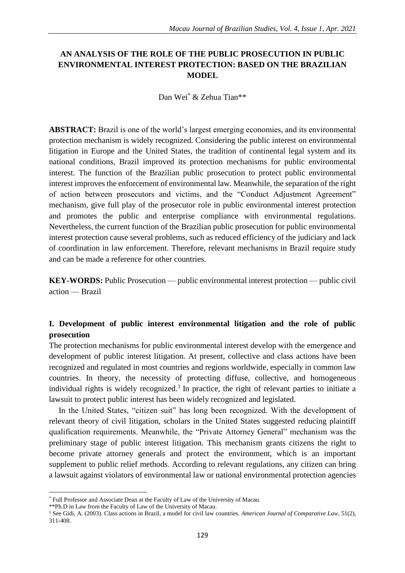# **AN ANALYSIS OF THE ROLE OF THE PUBLIC PROSECUTION IN PUBLIC ENVIRONMENTAL INTEREST PROTECTION: BASED ON THE BRAZILIAN MODEL**

Dan Wei\* & Zehua Tian\*\*

**ABSTRACT:** Brazil is one of the world's largest emerging economies, and its environmental protection mechanism is widely recognized. Considering the public interest on environmental litigation in Europe and the United States, the tradition of continental legal system and its national conditions, Brazil improved its protection mechanisms for public environmental interest. The function of the Brazilian public prosecution to protect public environmental interest improves the enforcement of environmental law. Meanwhile, the separation of the right of action between prosecutors and victims, and the "Conduct Adjustment Agreement" mechanism, give full play of the prosecutor role in public environmental interest protection and promotes the public and enterprise compliance with environmental regulations. Nevertheless, the current function of the Brazilian public prosecution for public environmental interest protection cause several problems, such as reduced efficiency of the judiciary and lack of coordination in law enforcement. Therefore, relevant mechanisms in Brazil require study and can be made a reference for other countries.

**KEY-WORDS:** Public Prosecution — public environmental interest protection — public civil action — Brazil

# **I. Development of public interest environmental litigation and the role of public prosecution**

The protection mechanisms for public environmental interest develop with the emergence and development of public interest litigation. At present, collective and class actions have been recognized and regulated in most countries and regions worldwide, especially in common law countries. In theory, the necessity of protecting diffuse, collective, and homogeneous individual rights is widely recognized.<sup>1</sup> In practice, the right of relevant parties to initiate a lawsuit to protect public interest has been widely recognized and legislated.

In the United States, "citizen suit" has long been recognized. With the development of relevant theory of civil litigation, scholars in the United States suggested reducing plaintiff qualification requirements. Meanwhile, the "Private Attorney General" mechanism was the preliminary stage of public interest litigation. This mechanism grants citizens the right to become private attorney generals and protect the environment, which is an important supplement to public relief methods. According to relevant regulations, any citizen can bring a lawsuit against violators of environmental law or national environmental protection agencies

<sup>\*</sup> Full Professor and Associate Dean at the Faculty of Law of the University of Macau.

<sup>\*\*</sup>Ph.D in Law from the Faculty of Law of the University of Macau.

<sup>1</sup> See Gidi, A. (2003). Class actions in Brazil, a model for civil law countries. *American Journal of Comparative Law*, 51(2), 311-408.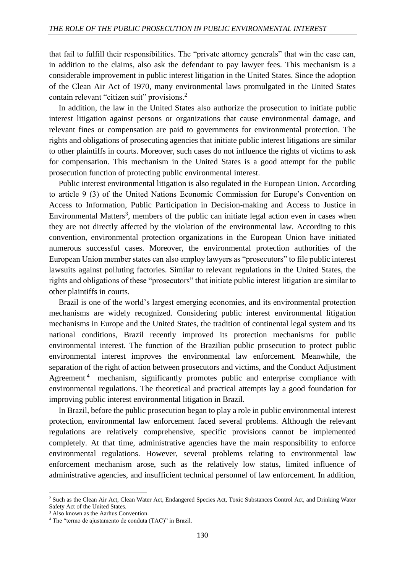that fail to fulfill their responsibilities. The "private attorney generals" that win the case can, in addition to the claims, also ask the defendant to pay lawyer fees. This mechanism is a considerable improvement in public interest litigation in the United States. Since the adoption of the Clean Air Act of 1970, many environmental laws promulgated in the United States contain relevant "citizen suit" provisions.<sup>2</sup>

In addition, the law in the United States also authorize the prosecution to initiate public interest litigation against persons or organizations that cause environmental damage, and relevant fines or compensation are paid to governments for environmental protection. The rights and obligations of prosecuting agencies that initiate public interest litigations are similar to other plaintiffs in courts. Moreover, such cases do not influence the rights of victims to ask for compensation. This mechanism in the United States is a good attempt for the public prosecution function of protecting public environmental interest.

Public interest environmental litigation is also regulated in the European Union. According to article 9 (3) of the United Nations Economic Commission for Europe's Convention on Access to Information, Public Participation in Decision-making and Access to Justice in Environmental Matters<sup>3</sup>, members of the public can initiate legal action even in cases when they are not directly affected by the violation of the environmental law. According to this convention, environmental protection organizations in the European Union have initiated numerous successful cases. Moreover, the environmental protection authorities of the European Union member states can also employ lawyers as "prosecutors" to file public interest lawsuits against polluting factories. Similar to relevant regulations in the United States, the rights and obligations of these "prosecutors" that initiate public interest litigation are similar to other plaintiffs in courts.

Brazil is one of the world's largest emerging economies, and its environmental protection mechanisms are widely recognized. Considering public interest environmental litigation mechanisms in Europe and the United States, the tradition of continental legal system and its national conditions, Brazil recently improved its protection mechanisms for public environmental interest. The function of the Brazilian public prosecution to protect public environmental interest improves the environmental law enforcement. Meanwhile, the separation of the right of action between prosecutors and victims, and the Conduct Adjustment Agreement<sup>4</sup> mechanism, significantly promotes public and enterprise compliance with environmental regulations. The theoretical and practical attempts lay a good foundation for improving public interest environmental litigation in Brazil.

In Brazil, before the public prosecution began to play a role in public environmental interest protection, environmental law enforcement faced several problems. Although the relevant regulations are relatively comprehensive, specific provisions cannot be implemented completely. At that time, administrative agencies have the main responsibility to enforce environmental regulations. However, several problems relating to environmental law enforcement mechanism arose, such as the relatively low status, limited influence of administrative agencies, and insufficient technical personnel of law enforcement. In addition,

<sup>2</sup> Such as the Clean Air Act, Clean Water Act, Endangered Species Act, Toxic Substances Control Act, and Drinking Water Safety Act of the United States.

<sup>3</sup> Also known as the Aarhus Convention.

<sup>4</sup> The "termo de ajustamento de conduta (TAC)" in Brazil.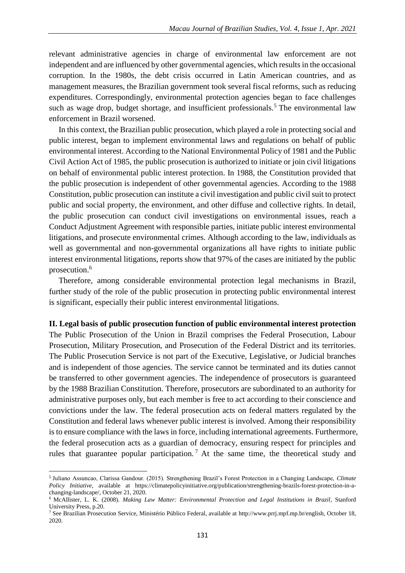relevant administrative agencies in charge of environmental law enforcement are not independent and are influenced by other governmental agencies, which results in the occasional corruption. In the 1980s, the debt crisis occurred in Latin American countries, and as management measures, the Brazilian government took several fiscal reforms, such as reducing expenditures. Correspondingly, environmental protection agencies began to face challenges such as wage drop, budget shortage, and insufficient professionals.<sup>5</sup> The environmental law enforcement in Brazil worsened.

In this context, the Brazilian public prosecution, which played a role in protecting social and public interest, began to implement environmental laws and regulations on behalf of public environmental interest. According to the National Environmental Policy of 1981 and the Public Civil Action Act of 1985, the public prosecution is authorized to initiate or join civil litigations on behalf of environmental public interest protection. In 1988, the Constitution provided that the public prosecution is independent of other governmental agencies. According to the 1988 Constitution, public prosecution can institute a civil investigation and public civil suit to protect public and social property, the environment, and other diffuse and collective rights. In detail, the public prosecution can conduct civil investigations on environmental issues, reach a Conduct Adjustment Agreement with responsible parties, initiate public interest environmental litigations, and prosecute environmental crimes. Although according to the law, individuals as well as governmental and non-governmental organizations all have rights to initiate public interest environmental litigations, reports show that 97% of the cases are initiated by the public prosecution.<sup>6</sup>

Therefore, among considerable environmental protection legal mechanisms in Brazil, further study of the role of the public prosecution in protecting public environmental interest is significant, especially their public interest environmental litigations.

#### **II. Legal basis of public prosecution function of public environmental interest protection**

The Public Prosecution of the Union in Brazil comprises the Federal Prosecution, Labour Prosecution, Military Prosecution, and Prosecution of the Federal District and its territories. The Public Prosecution Service is not part of the Executive, Legislative, or Judicial branches and is independent of those agencies. The service cannot be terminated and its duties cannot be transferred to other government agencies. The independence of prosecutors is guaranteed by the 1988 Brazilian Constitution. Therefore, prosecutors are subordinated to an authority for administrative purposes only, but each member is free to act according to their conscience and convictions under the law. The federal prosecution acts on federal matters regulated by the Constitution and federal laws whenever public interest is involved. Among their responsibility is to ensure compliance with the laws in force, including international agreements. Furthermore, the federal prosecution acts as a guardian of democracy, ensuring respect for principles and rules that guarantee popular participation.<sup>7</sup> At the same time, the theoretical study and

<sup>5</sup> Juliano Assuncao, Clarissa Gandour. (2015). Strengthening Brazil's Forest Protection in a Changing Landscape, *Climate Policy Initiative*, available at https://climatepolicyinitiative.org/publication/strengthening-brazils-forest-protection-in-achanging-landscape/, October 21, 2020.

<sup>6</sup> McAllister, L. K. (2008). *Making Law Matter: Environmental Protection and Legal Institutions in Brazil*, Stanford University Press, p.20.

<sup>7</sup> See Brazilian Prosecution Service, Ministério Público Federal, available at http://www.prrj.mpf.mp.br/english, October 18, 2020.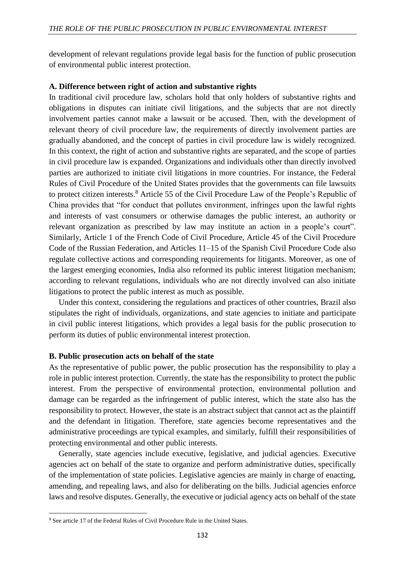development of relevant regulations provide legal basis for the function of public prosecution of environmental public interest protection.

### **A. Difference between right of action and substantive rights**

In traditional civil procedure law, scholars hold that only holders of substantive rights and obligations in disputes can initiate civil litigations, and the subjects that are not directly involvement parties cannot make a lawsuit or be accused. Then, with the development of relevant theory of civil procedure law, the requirements of directly involvement parties are gradually abandoned, and the concept of parties in civil procedure law is widely recognized. In this context, the right of action and substantive rights are separated, and the scope of parties in civil procedure law is expanded. Organizations and individuals other than directly involved parties are authorized to initiate civil litigations in more countries. For instance, the Federal Rules of Civil Procedure of the United States provides that the governments can file lawsuits to protect citizen interests.<sup>8</sup> Article 55 of the Civil Procedure Law of the People's Republic of China provides that "for conduct that pollutes environment, infringes upon the lawful rights and interests of vast consumers or otherwise damages the public interest, an authority or relevant organization as prescribed by law may institute an action in a people's court". Similarly, Article 1 of the French Code of Civil Procedure, Article 45 of the Civil Procedure Code of the Russian Federation, and Articles 11–15 of the Spanish Civil Procedure Code also regulate collective actions and corresponding requirements for litigants. Moreover, as one of the largest emerging economies, India also reformed its public interest litigation mechanism; according to relevant regulations, individuals who are not directly involved can also initiate litigations to protect the public interest as much as possible.

Under this context, considering the regulations and practices of other countries, Brazil also stipulates the right of individuals, organizations, and state agencies to initiate and participate in civil public interest litigations, which provides a legal basis for the public prosecution to perform its duties of public environmental interest protection.

### **B. Public prosecution acts on behalf of the state**

As the representative of public power, the public prosecution has the responsibility to play a role in public interest protection. Currently, the state has the responsibility to protect the public interest. From the perspective of environmental protection, environmental pollution and damage can be regarded as the infringement of public interest, which the state also has the responsibility to protect. However, the state is an abstract subject that cannot act as the plaintiff and the defendant in litigation. Therefore, state agencies become representatives and the administrative proceedings are typical examples, and similarly, fulfill their responsibilities of protecting environmental and other public interests.

Generally, state agencies include executive, legislative, and judicial agencies. Executive agencies act on behalf of the state to organize and perform administrative duties, specifically of the implementation of state policies. Legislative agencies are mainly in charge of enacting, amending, and repealing laws, and also for deliberating on the bills. Judicial agencies enforce laws and resolve disputes. Generally, the executive or judicial agency acts on behalf of the state

 $\overline{\phantom{a}}$ 

<sup>8</sup> See article 17 of the Federal Rules of Civil Procedure Rule in the United States.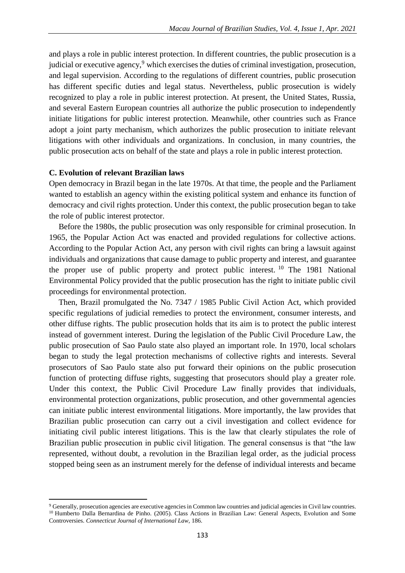and plays a role in public interest protection. In different countries, the public prosecution is a judicial or executive agency, $9$  which exercises the duties of criminal investigation, prosecution, and legal supervision. According to the regulations of different countries, public prosecution has different specific duties and legal status. Nevertheless, public prosecution is widely recognized to play a role in public interest protection. At present, the United States, Russia, and several Eastern European countries all authorize the public prosecution to independently initiate litigations for public interest protection. Meanwhile, other countries such as France adopt a joint party mechanism, which authorizes the public prosecution to initiate relevant litigations with other individuals and organizations. In conclusion, in many countries, the public prosecution acts on behalf of the state and plays a role in public interest protection.

#### **C. Evolution of relevant Brazilian laws**

 $\overline{\phantom{a}}$ 

Open democracy in Brazil began in the late 1970s. At that time, the people and the Parliament wanted to establish an agency within the existing political system and enhance its function of democracy and civil rights protection. Under this context, the public prosecution began to take the role of public interest protector.

Before the 1980s, the public prosecution was only responsible for criminal prosecution. In 1965, the Popular Action Act was enacted and provided regulations for collective actions. According to the Popular Action Act, any person with civil rights can bring a lawsuit against individuals and organizations that cause damage to public property and interest, and guarantee the proper use of public property and protect public interest. <sup>10</sup> The 1981 National Environmental Policy provided that the public prosecution has the right to initiate public civil proceedings for environmental protection.

Then, Brazil promulgated the No. 7347 / 1985 Public Civil Action Act, which provided specific regulations of judicial remedies to protect the environment, consumer interests, and other diffuse rights. The public prosecution holds that its aim is to protect the public interest instead of government interest. During the legislation of the Public Civil Procedure Law, the public prosecution of Sao Paulo state also played an important role. In 1970, local scholars began to study the legal protection mechanisms of collective rights and interests. Several prosecutors of Sao Paulo state also put forward their opinions on the public prosecution function of protecting diffuse rights, suggesting that prosecutors should play a greater role. Under this context, the Public Civil Procedure Law finally provides that individuals, environmental protection organizations, public prosecution, and other governmental agencies can initiate public interest environmental litigations. More importantly, the law provides that Brazilian public prosecution can carry out a civil investigation and collect evidence for initiating civil public interest litigations. This is the law that clearly stipulates the role of Brazilian public prosecution in public civil litigation. The general consensus is that "the law represented, without doubt, a revolution in the Brazilian legal order, as the judicial process stopped being seen as an instrument merely for the defense of individual interests and became

<sup>9</sup> Generally, prosecution agencies are executive agencies in Common law countries and judicial agencies in Civil law countries. <sup>10</sup> Humberto Dalla Bernardina de Pinho. (2005). Class Actions in Brazilian Law: General Aspects, Evolution and Some Controversies. *Connecticut Journal of International Law,* 186.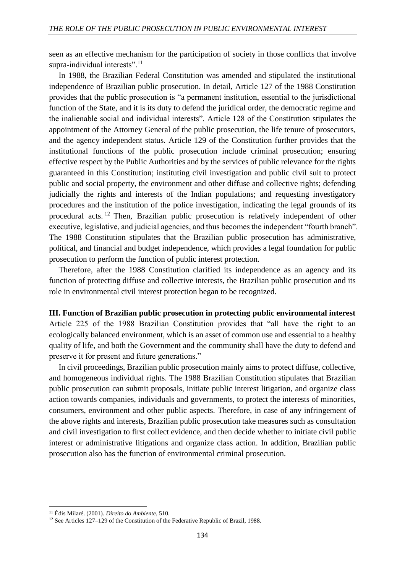seen as an effective mechanism for the participation of society in those conflicts that involve supra-individual interests".<sup>11</sup>

In 1988, the Brazilian Federal Constitution was amended and stipulated the institutional independence of Brazilian public prosecution. In detail, Article 127 of the 1988 Constitution provides that the public prosecution is "a permanent institution, essential to the jurisdictional function of the State, and it is its duty to defend the juridical order, the democratic regime and the inalienable social and individual interests". Article 128 of the Constitution stipulates the appointment of the Attorney General of the public prosecution, the life tenure of prosecutors, and the agency independent status. Article 129 of the Constitution further provides that the institutional functions of the public prosecution include criminal prosecution; ensuring effective respect by the Public Authorities and by the services of public relevance for the rights guaranteed in this Constitution; instituting civil investigation and public civil suit to protect public and social property, the environment and other diffuse and collective rights; defending judicially the rights and interests of the Indian populations; and requesting investigatory procedures and the institution of the police investigation, indicating the legal grounds of its procedural acts. <sup>12</sup> Then, Brazilian public prosecution is relatively independent of other executive, legislative, and judicial agencies, and thus becomes the independent "fourth branch". The 1988 Constitution stipulates that the Brazilian public prosecution has administrative, political, and financial and budget independence, which provides a legal foundation for public prosecution to perform the function of public interest protection.

Therefore, after the 1988 Constitution clarified its independence as an agency and its function of protecting diffuse and collective interests, the Brazilian public prosecution and its role in environmental civil interest protection began to be recognized.

**III. Function of Brazilian public prosecution in protecting public environmental interest** Article 225 of the 1988 Brazilian Constitution provides that "all have the right to an ecologically balanced environment, which is an asset of common use and essential to a healthy quality of life, and both the Government and the community shall have the duty to defend and preserve it for present and future generations."

In civil proceedings, Brazilian public prosecution mainly aims to protect diffuse, collective, and homogeneous individual rights. The 1988 Brazilian Constitution stipulates that Brazilian public prosecution can submit proposals, initiate public interest litigation, and organize class action towards companies, individuals and governments, to protect the interests of minorities, consumers, environment and other public aspects. Therefore, in case of any infringement of the above rights and interests, Brazilian public prosecution take measures such as consultation and civil investigation to first collect evidence, and then decide whether to initiate civil public interest or administrative litigations and organize class action. In addition, Brazilian public prosecution also has the function of environmental criminal prosecution.

<sup>11</sup> Édis Milaré. (2001). *Direito do Ambiente,* 510.

<sup>&</sup>lt;sup>12</sup> See Articles 127–129 of the Constitution of the Federative Republic of Brazil, 1988.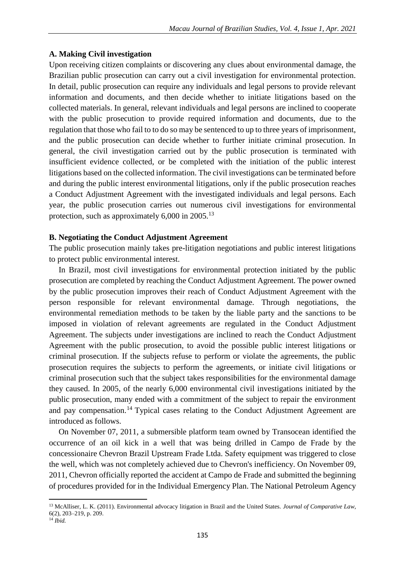## **A. Making Civil investigation**

Upon receiving citizen complaints or discovering any clues about environmental damage, the Brazilian public prosecution can carry out a civil investigation for environmental protection. In detail, public prosecution can require any individuals and legal persons to provide relevant information and documents, and then decide whether to initiate litigations based on the collected materials. In general, relevant individuals and legal persons are inclined to cooperate with the public prosecution to provide required information and documents, due to the regulation that those who fail to to do so may be sentenced to up to three years of imprisonment, and the public prosecution can decide whether to further initiate criminal prosecution. In general, the civil investigation carried out by the public prosecution is terminated with insufficient evidence collected, or be completed with the initiation of the public interest litigations based on the collected information. The civil investigations can be terminated before and during the public interest environmental litigations, only if the public prosecution reaches a Conduct Adjustment Agreement with the investigated individuals and legal persons. Each year, the public prosecution carries out numerous civil investigations for environmental protection, such as approximately  $6,000$  in  $2005$ .<sup>13</sup>

## **B. Negotiating the Conduct Adjustment Agreement**

The public prosecution mainly takes pre-litigation negotiations and public interest litigations to protect public environmental interest.

In Brazil, most civil investigations for environmental protection initiated by the public prosecution are completed by reaching the Conduct Adjustment Agreement. The power owned by the public prosecution improves their reach of Conduct Adjustment Agreement with the person responsible for relevant environmental damage. Through negotiations, the environmental remediation methods to be taken by the liable party and the sanctions to be imposed in violation of relevant agreements are regulated in the Conduct Adjustment Agreement. The subjects under investigations are inclined to reach the Conduct Adjustment Agreement with the public prosecution, to avoid the possible public interest litigations or criminal prosecution. If the subjects refuse to perform or violate the agreements, the public prosecution requires the subjects to perform the agreements, or initiate civil litigations or criminal prosecution such that the subject takes responsibilities for the environmental damage they caused. In 2005, of the nearly 6,000 environmental civil investigations initiated by the public prosecution, many ended with a commitment of the subject to repair the environment and pay compensation.<sup>14</sup> Typical cases relating to the Conduct Adjustment Agreement are introduced as follows.

On November 07, 2011, a submersible platform team owned by Transocean identified the occurrence of an oil kick in a well that was being drilled in Campo de Frade by the concessionaire Chevron Brazil Upstream Frade Ltda. Safety equipment was triggered to close the well, which was not completely achieved due to Chevron's inefficiency. On November 09, 2011, Chevron officially reported the accident at Campo de Frade and submitted the beginning of procedures provided for in the Individual Emergency Plan. The National Petroleum Agency

 $\overline{\phantom{a}}$ 

<sup>13</sup> McAlliser, L. K. (2011). Environmental advocacy litigation in Brazil and the United States. *Journal of Comparative Law*, 6(2), 203–219, p. 209.

 $^{14}$  *Ibid.*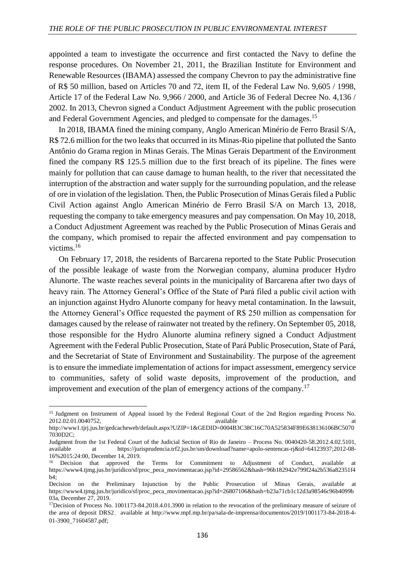appointed a team to investigate the occurrence and first contacted the Navy to define the response procedures. On November 21, 2011, the Brazilian Institute for Environment and Renewable Resources (IBAMA) assessed the company Chevron to pay the administrative fine of R\$ 50 million, based on Articles 70 and 72, item II, of the Federal Law No. 9,605 / 1998, Article 17 of the Federal Law No. 9,966 / 2000, and Article 36 of Federal Decree No. 4,136 / 2002. In 2013, Chevron signed a Conduct Adjustment Agreement with the public prosecution and Federal Government Agencies, and pledged to compensate for the damages.<sup>15</sup>

In 2018, IBAMA fined the mining company, Anglo American Minério de Ferro Brasil S/A, R\$ 72.6 million for the two leaks that occurred in its Minas-Rio pipeline that polluted the Santo Antônio do Grama region in Minas Gerais. The Minas Gerais Department of the Environment fined the company R\$ 125.5 million due to the first breach of its pipeline. The fines were mainly for pollution that can cause damage to human health, to the river that necessitated the interruption of the abstraction and water supply for the surrounding population, and the release of ore in violation of the legislation. Then, the Public Prosecution of Minas Gerais filed a Public Civil Action against Anglo American Minério de Ferro Brasil S/A on March 13, 2018, requesting the company to take emergency measures and pay compensation. On May 10, 2018, a Conduct Adjustment Agreement was reached by the Public Prosecution of Minas Gerais and the company, which promised to repair the affected environment and pay compensation to victims.<sup>16</sup>

On February 17, 2018, the residents of Barcarena reported to the State Public Prosecution of the possible leakage of waste from the Norwegian company, alumina producer Hydro Alunorte. The waste reaches several points in the municipality of Barcarena after two days of heavy rain. The Attorney General's Office of the State of Pará filed a public civil action with an injunction against Hydro Alunorte company for heavy metal contamination. In the lawsuit, the Attorney General's Office requested the payment of R\$ 250 million as compensation for damages caused by the release of rainwater not treated by the refinery. On September 05, 2018, those responsible for the Hydro Alunorte alumina refinery signed a Conduct Adjustment Agreement with the Federal Public Prosecution, State of Pará Public Prosecution, State of Pará, and the Secretariat of State of Environment and Sustainability. The purpose of the agreement is to ensure the immediate implementation of actions for impact assessment, emergency service to communities, safety of solid waste deposits, improvement of the production, and improvement and execution of the plan of emergency actions of the company.<sup>17</sup>

<sup>&</sup>lt;sup>15</sup> Judgment on Instrument of Appeal issued by the Federal Regional Court of the 2nd Region regarding Process No. 2012.02.01.0040752, available at

http://www1.tjrj.jus.br/gedcacheweb/default.aspx?UZIP=1&GEDID=0004B3C38C16C70A525834F89E638136106BC5070 7030D2C;

Judgment from the 1st Federal Court of the Judicial Section of Rio de Janeiro – Process No. 0040420-58.2012.4.02.5101, available at https://jurisprudencia.trf2.jus.br/sm/download?name=apolo-sentencas-rj&id=64123937;2012-08- 16%2015:24:00, December 14, 2019.

<sup>&</sup>lt;sup>16</sup> Decision that approved the Terms for Commitment to Adjustment of Conduct, available at https://www4.tjmg.jus.br/juridico/sf/proc\_peca\_movimentacao.jsp?id=29586562&hash=96b182942e799f24a2b536a82351f4 b4;

Decision on the Preliminary Injunction by the Public Prosecution of Minas Gerais, available at https://www4.tjmg.jus.br/juridico/sf/proc\_peca\_movimentacao.jsp?id=26807106&hash=b23a71cb1c12d3a98546c96b4099b 03a, December 27, 2019.

<sup>&</sup>lt;sup>17</sup>Decision of Process No. 1001173-84.2018.4.01.3900 in relation to the revocation of the preliminary measure of seizure of the area of deposit DRS2, available at http://www.mpf.mp.br/pa/sala-de-imprensa/documentos/2019/1001173-84-2018-4-01-3900\_71604587.pdf;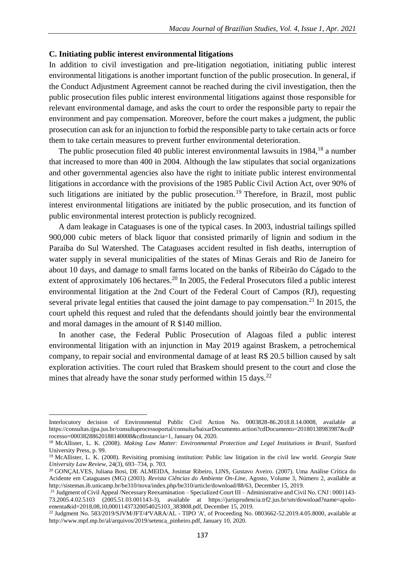#### **C. Initiating public interest environmental litigations**

In addition to civil investigation and pre-litigation negotiation, initiating public interest environmental litigations is another important function of the public prosecution. In general, if the Conduct Adjustment Agreement cannot be reached during the civil investigation, then the public prosecution files public interest environmental litigations against those responsible for relevant environmental damage, and asks the court to order the responsible party to repair the environment and pay compensation. Moreover, before the court makes a judgment, the public prosecution can ask for an injunction to forbid the responsible party to take certain acts or force them to take certain measures to prevent further environmental deterioration.

The public prosecution filed 40 public interest environmental lawsuits in  $1984$ ,<sup>18</sup> a number that increased to more than 400 in 2004. Although the law stipulates that social organizations and other governmental agencies also have the right to initiate public interest environmental litigations in accordance with the provisions of the 1985 Public Civil Action Act, over 90% of such litigations are initiated by the public prosecution.<sup>19</sup> Therefore, in Brazil, most public interest environmental litigations are initiated by the public prosecution, and its function of public environmental interest protection is publicly recognized.

A dam leakage in Cataguases is one of the typical cases. In 2003, industrial tailings spilled 900,000 cubic meters of black liquor that consisted primarily of lignin and sodium in the Paraíba do Sul Watershed. The Cataguases accident resulted in fish deaths, interruption of water supply in several municipalities of the states of Minas Gerais and Rio de Janeiro for about 10 days, and damage to small farms located on the banks of Ribeirão do Cágado to the extent of approximately 106 hectares.<sup>20</sup> In 2005, the Federal Prosecutors filed a public interest environmental litigation at the 2nd Court of the Federal Court of Campos (RJ), requesting several private legal entities that caused the joint damage to pay compensation.<sup>21</sup> In 2015, the court upheld this request and ruled that the defendants should jointly bear the environmental and moral damages in the amount of R \$140 million.

In another case, the Federal Public Prosecution of Alagoas filed a public interest environmental litigation with an injunction in May 2019 against Braskem, a petrochemical company, to repair social and environmental damage of at least R\$ 20.5 billion caused by salt exploration activities. The court ruled that Braskem should present to the court and close the mines that already have the sonar study performed within 15 days.<sup>22</sup>

Interlocutory decision of Environmental Public Civil Action No. 0003828-86.2018.8.14.0008, available at https://consultas.tjpa.jus.br/consultaprocessoportal/consulta/baixarDocumento.action?cdDocumento=20180138983987&cdP rocesso=00038288620188140008&cdInstancia=1, January 04, 2020.

<sup>&</sup>lt;sup>18</sup> McAllister, L. K. (2008). *Making Law Matter: Environmental Protection and Legal Institutions in Brazil*, Stanford University Press, p. 99.

<sup>19</sup> McAllister, L. K. (2008). Revisiting promising institution: Public law litigation in the civil law world. *Georgia State University Law Review*, 24(3), 693–734, p. 703.

<sup>20</sup> GONÇALVES, Juliana Bosi, DE ALMEIDA, Josimar Ribeiro, LINS, Gustavo Aveiro. (2007). Uma Análise Crítica do Acidente em Cataguases (MG) (2003). *Revista Ciências do Ambiente On-Line,* Agosto, Volume 3, Número 2, available at http://sistemas.ib.unicamp.br/be310/nova/index.php/be310/article/download/88/63, December 15, 2019.

<sup>&</sup>lt;sup>21</sup> Judgment of Civil Appeal /Necessary Reexamination – Specialized Court III – Administrative and Civil No. CNJ: 0001143-73.2005.4.02.5103 (2005.51.03.001143-3), available at https://jurisprudencia.trf2.jus.br/sm/download?name=apoloementa&id=2018,08,10,00011437320054025103\_383808.pdf, December 15, 2019.

<sup>&</sup>lt;sup>22</sup> Judgment No. 583/2019/SJVM/JFT/4ªVARA/AL - TIPO 'A', of Proceeding No. 0803662-52.2019.4.05.8000, available at http://www.mpf.mp.br/al/arquivos/2019/setenca\_pinheiro.pdf, January 10, 2020.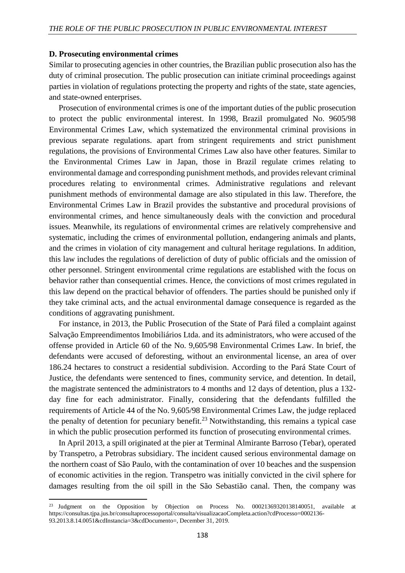#### **D. Prosecuting environmental crimes**

 $\overline{\phantom{a}}$ 

Similar to prosecuting agencies in other countries, the Brazilian public prosecution also has the duty of criminal prosecution. The public prosecution can initiate criminal proceedings against parties in violation of regulations protecting the property and rights of the state, state agencies, and state-owned enterprises.

Prosecution of environmental crimes is one of the important duties of the public prosecution to protect the public environmental interest. In 1998, Brazil promulgated No. 9605/98 Environmental Crimes Law, which systematized the environmental criminal provisions in previous separate regulations. apart from stringent requirements and strict punishment regulations, the provisions of Environmental Crimes Law also have other features. Similar to the Environmental Crimes Law in Japan, those in Brazil regulate crimes relating to environmental damage and corresponding punishment methods, and provides relevant criminal procedures relating to environmental crimes. Administrative regulations and relevant punishment methods of environmental damage are also stipulated in this law. Therefore, the Environmental Crimes Law in Brazil provides the substantive and procedural provisions of environmental crimes, and hence simultaneously deals with the conviction and procedural issues. Meanwhile, its regulations of environmental crimes are relatively comprehensive and systematic, including the crimes of environmental pollution, endangering animals and plants, and the crimes in violation of city management and cultural heritage regulations. In addition, this law includes the regulations of dereliction of duty of public officials and the omission of other personnel. Stringent environmental crime regulations are established with the focus on behavior rather than consequential crimes. Hence, the convictions of most crimes regulated in this law depend on the practical behavior of offenders. The parties should be punished only if they take criminal acts, and the actual environmental damage consequence is regarded as the conditions of aggravating punishment.

For instance, in 2013, the Public Prosecution of the State of Pará filed a complaint against Salvação Empreendimentos Imobiliários Ltda. and its administrators, who were accused of the offense provided in Article 60 of the No. 9,605/98 Environmental Crimes Law. In brief, the defendants were accused of deforesting, without an environmental license, an area of over 186.24 hectares to construct a residential subdivision. According to the Pará State Court of Justice, the defendants were sentenced to fines, community service, and detention. In detail, the magistrate sentenced the administrators to 4 months and 12 days of detention, plus a 132 day fine for each administrator. Finally, considering that the defendants fulfilled the requirements of Article 44 of the No. 9,605/98 Environmental Crimes Law, the judge replaced the penalty of detention for pecuniary benefit.<sup>23</sup> Notwithstanding, this remains a typical case in which the public prosecution performed its function of prosecuting environmental crimes.

In April 2013, a spill originated at the pier at Terminal Almirante Barroso (Tebar), operated by Transpetro, a Petrobras subsidiary. The incident caused serious environmental damage on the northern coast of São Paulo, with the contamination of over 10 beaches and the suspension of economic activities in the region. Transpetro was initially convicted in the civil sphere for damages resulting from the oil spill in the São Sebastião canal. Then, the company was

<sup>&</sup>lt;sup>23</sup> Judgment on the Opposition by Objection on Process No. 00021369320138140051, available at https://consultas.tjpa.jus.br/consultaprocessoportal/consulta/visualizacaoCompleta.action?cdProcesso=0002136- 93.2013.8.14.0051&cdInstancia=3&cdDocumento=, December 31, 2019.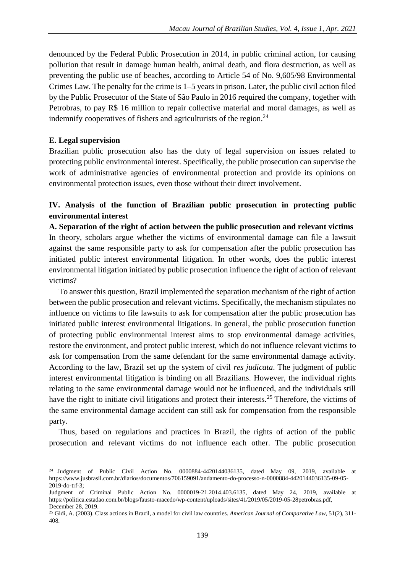denounced by the Federal Public Prosecution in 2014, in public criminal action, for causing pollution that result in damage human health, animal death, and flora destruction, as well as preventing the public use of beaches, according to Article 54 of No. 9,605/98 Environmental Crimes Law. The penalty for the crime is 1–5 years in prison. Later, the public civil action filed by the Public Prosecutor of the State of São Paulo in 2016 required the company, together with Petrobras, to pay R\$ 16 million to repair collective material and moral damages, as well as indemnify cooperatives of fishers and agriculturists of the region. $^{24}$ 

## **E. Legal supervision**

 $\overline{a}$ 

Brazilian public prosecution also has the duty of legal supervision on issues related to protecting public environmental interest. Specifically, the public prosecution can supervise the work of administrative agencies of environmental protection and provide its opinions on environmental protection issues, even those without their direct involvement.

# **IV. Analysis of the function of Brazilian public prosecution in protecting public environmental interest**

**A. Separation of the right of action between the public prosecution and relevant victims** In theory, scholars argue whether the victims of environmental damage can file a lawsuit against the same responsible party to ask for compensation after the public prosecution has initiated public interest environmental litigation. In other words, does the public interest environmental litigation initiated by public prosecution influence the right of action of relevant victims?

To answer this question, Brazil implemented the separation mechanism of the right of action between the public prosecution and relevant victims. Specifically, the mechanism stipulates no influence on victims to file lawsuits to ask for compensation after the public prosecution has initiated public interest environmental litigations. In general, the public prosecution function of protecting public environmental interest aims to stop environmental damage activities, restore the environment, and protect public interest, which do not influence relevant victims to ask for compensation from the same defendant for the same environmental damage activity. According to the law, Brazil set up the system of civil *res judicata*. The judgment of public interest environmental litigation is binding on all Brazilians. However, the individual rights relating to the same environmental damage would not be influenced, and the individuals still have the right to initiate civil litigations and protect their interests.<sup>25</sup> Therefore, the victims of the same environmental damage accident can still ask for compensation from the responsible party.

Thus, based on regulations and practices in Brazil, the rights of action of the public prosecution and relevant victims do not influence each other. The public prosecution

<sup>&</sup>lt;sup>24</sup> Judgment of Public Civil Action No. 0000884-4420144036135, dated May 09, 2019, available at https://www.jusbrasil.com.br/diarios/documentos/706159091/andamento-do-processo-n-0000884-4420144036135-09-05- 2019-do-trf-3;

Judgment of Criminal Public Action No. 0000019-21.2014.403.6135, dated May 24, 2019, available at https://politica.estadao.com.br/blogs/fausto-macedo/wp-content/uploads/sites/41/2019/05/2019-05-28petrobras.pdf, December 28, 2019.

<sup>25</sup> Gidi, A. (2003). Class actions in Brazil, a model for civil law countries. *American Journal of Comparative Law*, 51(2), 311- 408.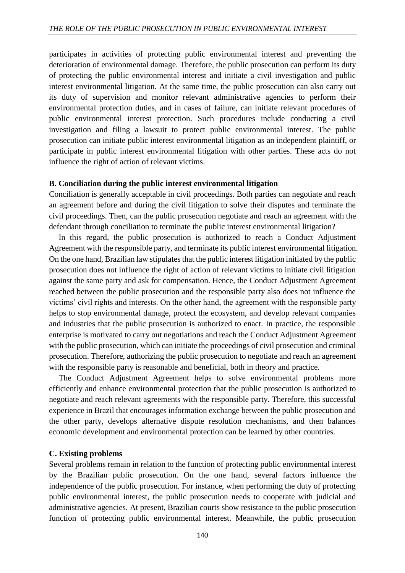participates in activities of protecting public environmental interest and preventing the deterioration of environmental damage. Therefore, the public prosecution can perform its duty of protecting the public environmental interest and initiate a civil investigation and public interest environmental litigation. At the same time, the public prosecution can also carry out its duty of supervision and monitor relevant administrative agencies to perform their environmental protection duties, and in cases of failure, can initiate relevant procedures of public environmental interest protection. Such procedures include conducting a civil investigation and filing a lawsuit to protect public environmental interest. The public prosecution can initiate public interest environmental litigation as an independent plaintiff, or participate in public interest environmental litigation with other parties. These acts do not influence the right of action of relevant victims.

### **B. Conciliation during the public interest environmental litigation**

Conciliation is generally acceptable in civil proceedings. Both parties can negotiate and reach an agreement before and during the civil litigation to solve their disputes and terminate the civil proceedings. Then, can the public prosecution negotiate and reach an agreement with the defendant through conciliation to terminate the public interest environmental litigation?

In this regard, the public prosecution is authorized to reach a Conduct Adjustment Agreement with the responsible party, and terminate its public interest environmental litigation. On the one hand, Brazilian law stipulates that the public interest litigation initiated by the public prosecution does not influence the right of action of relevant victims to initiate civil litigation against the same party and ask for compensation. Hence, the Conduct Adjustment Agreement reached between the public prosecution and the responsible party also does not influence the victims' civil rights and interests. On the other hand, the agreement with the responsible party helps to stop environmental damage, protect the ecosystem, and develop relevant companies and industries that the public prosecution is authorized to enact. In practice, the responsible enterprise is motivated to carry out negotiations and reach the Conduct Adjustment Agreement with the public prosecution, which can initiate the proceedings of civil prosecution and criminal prosecution. Therefore, authorizing the public prosecution to negotiate and reach an agreement with the responsible party is reasonable and beneficial, both in theory and practice.

The Conduct Adjustment Agreement helps to solve environmental problems more efficiently and enhance environmental protection that the public prosecution is authorized to negotiate and reach relevant agreements with the responsible party. Therefore, this successful experience in Brazil that encourages information exchange between the public prosecution and the other party, develops alternative dispute resolution mechanisms, and then balances economic development and environmental protection can be learned by other countries.

## **C. Existing problems**

Several problems remain in relation to the function of protecting public environmental interest by the Brazilian public prosecution. On the one hand, several factors influence the independence of the public prosecution. For instance, when performing the duty of protecting public environmental interest, the public prosecution needs to cooperate with judicial and administrative agencies. At present, Brazilian courts show resistance to the public prosecution function of protecting public environmental interest. Meanwhile, the public prosecution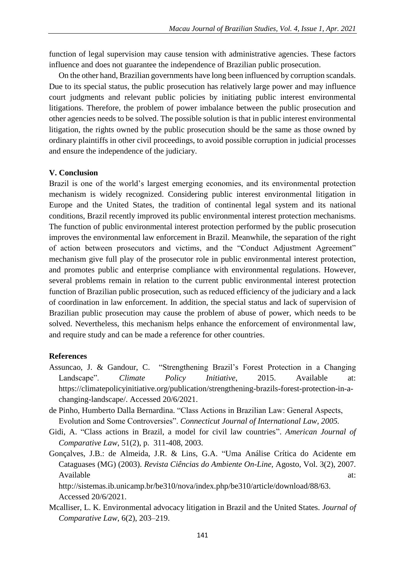function of legal supervision may cause tension with administrative agencies. These factors influence and does not guarantee the independence of Brazilian public prosecution.

On the other hand, Brazilian governments have long been influenced by corruption scandals. Due to its special status, the public prosecution has relatively large power and may influence court judgments and relevant public policies by initiating public interest environmental litigations. Therefore, the problem of power imbalance between the public prosecution and other agencies needs to be solved. The possible solution is that in public interest environmental litigation, the rights owned by the public prosecution should be the same as those owned by ordinary plaintiffs in other civil proceedings, to avoid possible corruption in judicial processes and ensure the independence of the judiciary.

### **V. Conclusion**

Brazil is one of the world's largest emerging economies, and its environmental protection mechanism is widely recognized. Considering public interest environmental litigation in Europe and the United States, the tradition of continental legal system and its national conditions, Brazil recently improved its public environmental interest protection mechanisms. The function of public environmental interest protection performed by the public prosecution improves the environmental law enforcement in Brazil. Meanwhile, the separation of the right of action between prosecutors and victims, and the "Conduct Adjustment Agreement" mechanism give full play of the prosecutor role in public environmental interest protection, and promotes public and enterprise compliance with environmental regulations. However, several problems remain in relation to the current public environmental interest protection function of Brazilian public prosecution, such as reduced efficiency of the judiciary and a lack of coordination in law enforcement. In addition, the special status and lack of supervision of Brazilian public prosecution may cause the problem of abuse of power, which needs to be solved. Nevertheless, this mechanism helps enhance the enforcement of environmental law, and require study and can be made a reference for other countries.

### **References**

- Assuncao, J. & Gandour, C. "Strengthening Brazil's Forest Protection in a Changing Landscape". *Climate Policy Initiative*, 2015. Available at: https://climatepolicyinitiative.org/publication/strengthening-brazils-forest-protection-in-achanging-landscape/. Accessed 20/6/2021.
- de Pinho, Humberto Dalla Bernardina. "Class Actions in Brazilian Law: General Aspects, Evolution and Some Controversies". *Connecticut Journal of International Law, 2005.*
- Gidi, A. "Class actions in Brazil, a model for civil law countries". *American Journal of Comparative Law*, 51(2), p. 311-408, 2003.
- Gonçalves, J.B.: de Almeida, J.R. & Lins, G.A. "Uma Análise Crítica do Acidente em Cataguases (MG) (2003). *Revista Ciências do Ambiente On-Line,* Agosto, Vol. 3(2), 2007. Available at:  $\alpha$

http://sistemas.ib.unicamp.br/be310/nova/index.php/be310/article/download/88/63. Accessed 20/6/2021.

Mcalliser, L. K. Environmental advocacy litigation in Brazil and the United States. *Journal of Comparative Law*, 6(2), 203–219.